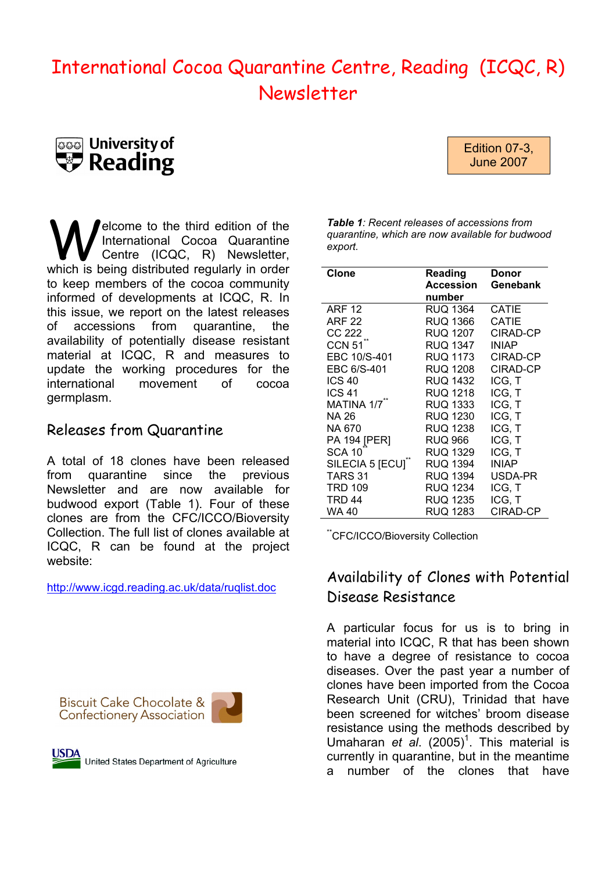# International Cocoa Quarantine Centre, Reading (ICQC, R) Newsletter





Welcome to the third edition of the<br>
Centre (ICQC, R) Newsletter,<br>
Which is being distributed regularly in order International Cocoa Quarantine which is being distributed regularly in order to keep members of the cocoa community informed of developments at ICQC, R. In this issue, we report on the latest releases of accessions from quarantine, the availability of potentially disease resistant material at ICQC, R and measures to update the working procedures for the international movement of cocoa germplasm.

### Releases from Quarantine

A total of 18 clones have been released from quarantine since the previous Newsletter and are now available for budwood export (Table 1). Four of these clones are from the CFC/ICCO/Bioversity Collection. The full list of clones available at ICQC, R can be found at the project website:

http://www.icgd.reading.ac.uk/data/ruqlist.doc





United States Department of Agriculture

*Table 1: Recent releases of accessions from quarantine, which are now available for budwood export.* 

| <b>Clone</b>      | Reading<br><b>Accession</b><br>number | Donor<br>Genebank |
|-------------------|---------------------------------------|-------------------|
| ARF 12            | RUQ 1364                              | CATIE             |
| <b>ARF 22</b>     | RUQ 1366                              | CATIE             |
| <b>CC 222</b>     | RUQ 1207                              | CIRAD-CP          |
| CCN <sub>51</sub> | RUQ 1347                              | <b>INIAP</b>      |
| EBC 10/S-401      | <b>RUQ 1173</b>                       | CIRAD-CP          |
| EBC 6/S-401       | RUQ 1208                              | CIRAD-CP          |
| <b>ICS 40</b>     | RUQ 1432                              | ICG, T            |
| <b>ICS 41</b>     | <b>RUQ 1218</b>                       | ICG, T            |
| MATINA 1/7        | RUQ 1333                              | ICG, T            |
| NA 26             | RUQ 1230                              | ICG, T            |
| NA 670            | <b>RUQ 1238</b>                       | ICG, T            |
| PA 194 [PER]      | RUQ 966                               | ICG, T            |
| <b>SCA 10</b>     | RUQ 1329                              | ICG, T            |
| SILECIA 5 [ECU]   | RUQ 1394                              | <b>INIAP</b>      |
| TARS 31           | RUQ 1394                              | USDA-PR           |
| <b>TRD 109</b>    | <b>RUQ 1234</b>                       | ICG, T            |
| <b>TRD 44</b>     | RUQ 1235                              | ICG, T            |
| WA 40             | RUQ 1283                              | CIRAD-CP          |

\*\*CFC/ICCO/Bioversity Collection

## Availability of Clones with Potential Disease Resistance

A particular focus for us is to bring in material into ICQC, R that has been shown to have a degree of resistance to cocoa diseases. Over the past year a number of clones have been imported from the Cocoa Research Unit (CRU), Trinidad that have been screened for witches' broom disease resistance using the methods described by Umaharan et al. (2005)<sup>1</sup>. This material is currently in quarantine, but in the meantime a number of the clones that have